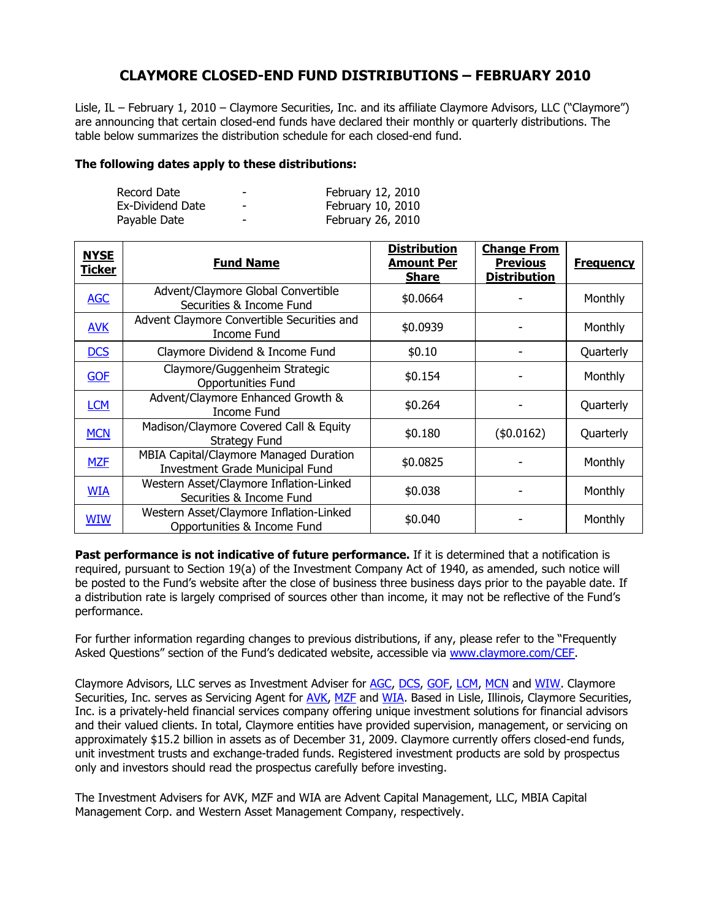## **CLAYMORE CLOSED-END FUND DISTRIBUTIONS – FEBRUARY 2010**

Lisle, IL – February 1, 2010 – Claymore Securities, Inc. and its affiliate Claymore Advisors, LLC ("Claymore") are announcing that certain closed-end funds have declared their monthly or quarterly distributions. The table below summarizes the distribution schedule for each closed-end fund.

## **The following dates apply to these distributions:**

| Record Date      | $\overline{\phantom{0}}$ | February 12, 2010 |
|------------------|--------------------------|-------------------|
| Ex-Dividend Date | $\overline{\phantom{a}}$ | February 10, 2010 |
| Payable Date     | $\overline{\phantom{0}}$ | February 26, 2010 |

| <b>NYSE</b><br><b>Ticker</b> | <b>Fund Name</b>                                                                 | <b>Distribution</b><br><b>Amount Per</b><br><b>Share</b> | <b>Change From</b><br><b>Previous</b><br><b>Distribution</b> | <b>Frequency</b> |
|------------------------------|----------------------------------------------------------------------------------|----------------------------------------------------------|--------------------------------------------------------------|------------------|
| <b>AGC</b>                   | Advent/Claymore Global Convertible<br>Securities & Income Fund                   | \$0.0664                                                 |                                                              | Monthly          |
| <b>AVK</b>                   | Advent Claymore Convertible Securities and<br>Income Fund                        | \$0.0939                                                 |                                                              | <b>Monthly</b>   |
| <b>DCS</b>                   | Claymore Dividend & Income Fund                                                  | \$0.10                                                   |                                                              | Quarterly        |
| <b>GOF</b>                   | Claymore/Guggenheim Strategic<br>Opportunities Fund                              | \$0.154                                                  |                                                              | Monthly          |
| <b>LCM</b>                   | Advent/Claymore Enhanced Growth &<br>Income Fund                                 | \$0.264                                                  |                                                              | Quarterly        |
| <b>MCN</b>                   | Madison/Claymore Covered Call & Equity<br><b>Strategy Fund</b>                   | \$0.180                                                  | (\$0.0162)                                                   | Quarterly        |
| <b>MZF</b>                   | MBIA Capital/Claymore Managed Duration<br><b>Investment Grade Municipal Fund</b> | \$0.0825                                                 |                                                              | Monthly          |
| <b>WIA</b>                   | Western Asset/Claymore Inflation-Linked<br>Securities & Income Fund              | \$0.038                                                  |                                                              | Monthly          |
| <b>WIW</b>                   | Western Asset/Claymore Inflation-Linked<br>Opportunities & Income Fund           | \$0.040                                                  |                                                              | Monthly          |

**Past performance is not indicative of future performance.** If it is determined that a notification is required, pursuant to Section 19(a) of the Investment Company Act of 1940, as amended, such notice will be posted to the Fund's website after the close of business three business days prior to the payable date. If a distribution rate is largely comprised of sources other than income, it may not be reflective of the Fund's performance.

For further information regarding changes to previous distributions, if any, please refer to the "Frequently Asked Questions" section of the Fund's dedicated website, accessible via www.claymore.com/CEF.

Claymore Advisors, LLC serves as Investment Adviser for AGC, DCS, GOF, LCM, MCN and WIW. Claymore Securities, Inc. serves as Servicing Agent for AVK, MZF and WIA. Based in Lisle, Illinois, Claymore Securities, Inc. is a privately-held financial services company offering unique investment solutions for financial advisors and their valued clients. In total, Claymore entities have provided supervision, management, or servicing on approximately \$15.2 billion in assets as of December 31, 2009. Claymore currently offers closed-end funds, unit investment trusts and exchange-traded funds. Registered investment products are sold by prospectus only and investors should read the prospectus carefully before investing.

The Investment Advisers for AVK, MZF and WIA are Advent Capital Management, LLC, MBIA Capital Management Corp. and Western Asset Management Company, respectively.